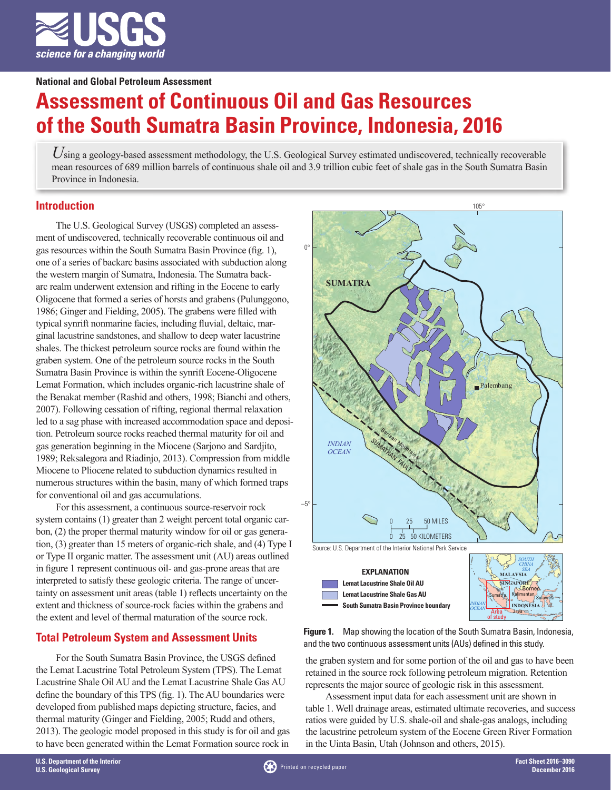

**National and Global Petroleum Assessment**

# **Assessment of Continuous Oil and Gas Resources of the South Sumatra Basin Province, Indonesia, 2016**

*U*sing a geology-based assessment methodology, the U.S. Geological Survey estimated undiscovered, technically recoverable mean resources of 689 million barrels of continuous shale oil and 3.9 trillion cubic feet of shale gas in the South Sumatra Basin Province in Indonesia.

## **Introduction**

The U.S. Geological Survey (USGS) completed an assessment of undiscovered, technically recoverable continuous oil and gas resources within the South Sumatra Basin Province (fig. 1), one of a series of backarc basins associated with subduction along the western margin of Sumatra, Indonesia. The Sumatra backarc realm underwent extension and rifting in the Eocene to early Oligocene that formed a series of horsts and grabens (Pulunggono, 1986; Ginger and Fielding, 2005). The grabens were filled with typical synrift nonmarine facies, including fluvial, deltaic, marginal lacustrine sandstones, and shallow to deep water lacustrine shales. The thickest petroleum source rocks are found within the graben system. One of the petroleum source rocks in the South Sumatra Basin Province is within the synrift Eocene-Oligocene Lemat Formation, which includes organic-rich lacustrine shale of the Benakat member (Rashid and others, 1998; Bianchi and others, 2007). Following cessation of rifting, regional thermal relaxation led to a sag phase with increased accommodation space and deposition. Petroleum source rocks reached thermal maturity for oil and gas generation beginning in the Miocene (Sarjono and Sardjito, 1989; Reksalegora and Riadinjo, 2013). Compression from middle Miocene to Pliocene related to subduction dynamics resulted in numerous structures within the basin, many of which formed traps for conventional oil and gas accumulations.

For this assessment, a continuous source-reservoir rock system contains (1) greater than 2 weight percent total organic carbon, (2) the proper thermal maturity window for oil or gas generation, (3) greater than 15 meters of organic-rich shale, and (4) Type I or Type II organic matter. The assessment unit (AU) areas outlined in figure 1 represent continuous oil- and gas-prone areas that are interpreted to satisfy these geologic criteria. The range of uncertainty on assessment unit areas (table 1) reflects uncertainty on the extent and thickness of source-rock facies within the grabens and the extent and level of thermal maturation of the source rock.

## **Total Petroleum System and Assessment Units**

For the South Sumatra Basin Province, the USGS defined the Lemat Lacustrine Total Petroleum System (TPS). The Lemat Lacustrine Shale Oil AU and the Lemat Lacustrine Shale Gas AU define the boundary of this TPS (fig. 1). The AU boundaries were developed from published maps depicting structure, facies, and thermal maturity (Ginger and Fielding, 2005; Rudd and others, 2013). The geologic model proposed in this study is for oil and gas to have been generated within the Lemat Formation source rock in



**Figure 1.** Map showing the location of the South Sumatra Basin, Indonesia, and the two continuous assessment units (AUs) defined in this study.

the graben system and for some portion of the oil and gas to have been retained in the source rock following petroleum migration. Retention represents the major source of geologic risk in this assessment.

Assessment input data for each assessment unit are shown in table 1. Well drainage areas, estimated ultimate recoveries, and success ratios were guided by U.S. shale-oil and shale-gas analogs, including the lacustrine petroleum system of the Eocene Green River Formation in the Uinta Basin, Utah (Johnson and others, 2015).